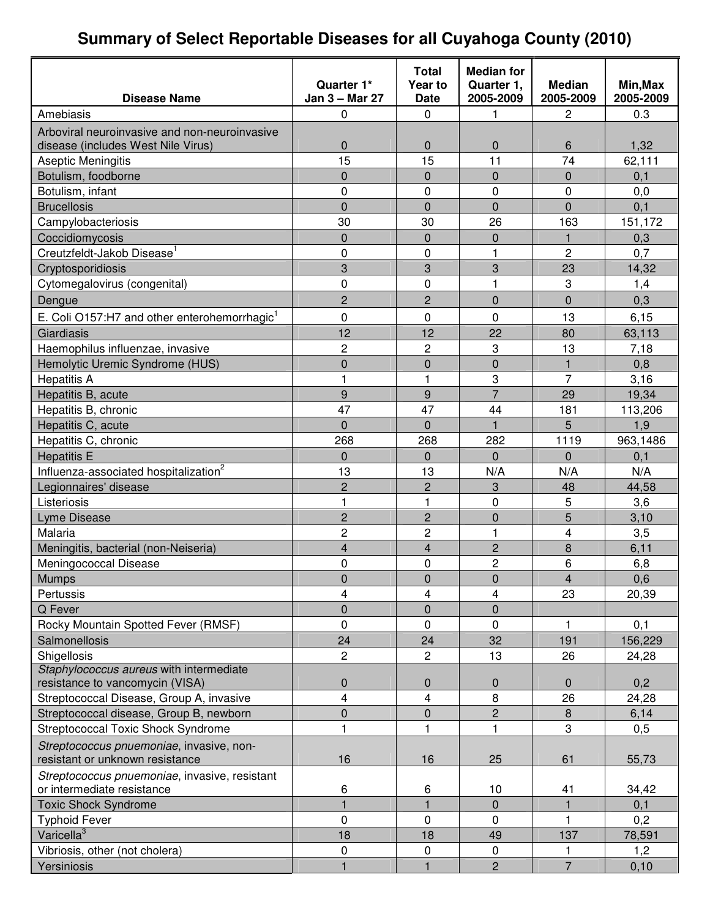## **Summary of Select Reportable Diseases for all Cuyahoga County (2010)**

|                                                          |                              | <b>Total</b>            | <b>Median for</b>       |                            |                       |
|----------------------------------------------------------|------------------------------|-------------------------|-------------------------|----------------------------|-----------------------|
| <b>Disease Name</b>                                      | Quarter 1*<br>Jan 3 - Mar 27 | Year to<br><b>Date</b>  | Quarter 1,<br>2005-2009 | <b>Median</b><br>2005-2009 | Min, Max<br>2005-2009 |
| Amebiasis                                                | 0                            | 0                       | 1                       | 2                          | 0.3                   |
| Arboviral neuroinvasive and non-neuroinvasive            |                              |                         |                         |                            |                       |
| disease (includes West Nile Virus)                       | 0                            | 0                       | $\mathbf{0}$            | 6                          | 1,32                  |
| Aseptic Meningitis                                       | 15                           | 15                      | 11                      | 74                         | 62,111                |
| Botulism, foodborne                                      | 0                            | $\overline{0}$          | $\mathbf 0$             | 0                          | 0,1                   |
| Botulism, infant                                         | 0                            | $\mathbf 0$             | $\mathbf 0$             | $\mathbf 0$                | 0,0                   |
| <b>Brucellosis</b>                                       | 0                            | $\overline{0}$          | $\overline{0}$          | $\Omega$                   | 0,1                   |
| Campylobacteriosis                                       | 30                           | 30                      | 26                      | 163                        | 151,172               |
| Coccidiomycosis                                          | 0                            | 0                       | $\mathbf 0$             | 1                          | 0,3                   |
| Creutzfeldt-Jakob Disease <sup>1</sup>                   | 0                            | 0                       | 1                       | $\overline{c}$             | 0,7                   |
| Cryptosporidiosis                                        | 3                            | 3                       | 3                       | 23                         | 14,32                 |
| Cytomegalovirus (congenital)                             | 0                            | $\pmb{0}$               | 1                       | 3                          | 1,4                   |
| Dengue                                                   | $\overline{2}$               | $\overline{2}$          | $\overline{0}$          | $\overline{0}$             | 0,3                   |
| E. Coli O157:H7 and other enterohemorrhagic <sup>1</sup> | 0                            | 0                       | 0                       | 13                         | 6,15                  |
| Giardiasis                                               | 12                           | 12                      | 22                      | 80                         | 63,113                |
| Haemophilus influenzae, invasive                         | $\overline{\mathbf{c}}$      | $\overline{c}$          | 3                       | 13                         | 7,18                  |
| Hemolytic Uremic Syndrome (HUS)                          | 0                            | $\overline{0}$          | $\overline{0}$          | 1                          | 0,8                   |
| <b>Hepatitis A</b>                                       | $\mathbf{1}$                 | $\mathbf{1}$            | 3                       | $\overline{7}$             | 3,16                  |
| Hepatitis B, acute                                       | $\boldsymbol{9}$             | $\boldsymbol{9}$        | $\overline{7}$          | 29                         | 19,34                 |
| Hepatitis B, chronic                                     | 47                           | 47                      | 44                      | 181                        | 113,206               |
| Hepatitis C, acute                                       | $\overline{0}$               | $\overline{0}$          | $\mathbf{1}$            | 5                          | 1,9                   |
| Hepatitis C, chronic                                     | 268                          | 268                     | 282                     | 1119                       | 963,1486              |
| <b>Hepatitis E</b>                                       | 0                            | $\mathbf{0}$            | $\Omega$                | $\Omega$                   | 0,1                   |
| Influenza-associated hospitalization <sup>2</sup>        | 13                           | 13                      | N/A                     | N/A                        | N/A                   |
| Legionnaires' disease                                    | $\overline{c}$               | $\overline{c}$          | 3                       | 48                         | 44,58                 |
| Listeriosis                                              | 1                            | $\mathbf{1}$            | 0                       | 5                          | 3,6                   |
| <b>Lyme Disease</b>                                      | $\overline{2}$               | $\overline{c}$          | $\overline{0}$          | 5                          | 3,10                  |
| Malaria                                                  | $\overline{c}$               | $\overline{c}$          | 1                       | 4                          | 3,5                   |
| Meningitis, bacterial (non-Neiseria)                     | 4                            | $\overline{\mathbf{4}}$ | $\overline{c}$          | 8                          | 6,11                  |
| Meningococcal Disease                                    | 0                            | 0                       | 2                       | 6                          | 6,8                   |
| <b>Mumps</b>                                             | $\overline{0}$               | $\pmb{0}$               | $\pmb{0}$               | 4                          | 0,6                   |
| Pertussis                                                | 4                            | 4                       | 4                       | 23                         | 20,39                 |
| Q Fever                                                  | 0                            | 0                       | $\mathbf 0$             |                            |                       |
| Rocky Mountain Spotted Fever (RMSF)                      | 0                            | 0                       | 0                       | 1                          | 0,1                   |
| Salmonellosis                                            | 24                           | 24                      | 32                      | 191                        | 156,229               |
| Shigellosis                                              | $\overline{2}$               | $\overline{2}$          | 13                      | 26                         | 24,28                 |
| Staphylococcus aureus with intermediate                  |                              |                         |                         |                            |                       |
| resistance to vancomycin (VISA)                          | 0                            | 0                       | 0                       | $\mathbf 0$                | 0,2                   |
| Streptococcal Disease, Group A, invasive                 | 4                            | 4                       | 8                       | 26                         | 24,28                 |
| Streptococcal disease, Group B, newborn                  | $\overline{0}$               | $\mathsf 0$             | $\overline{c}$          | 8                          | 6,14                  |
| <b>Streptococcal Toxic Shock Syndrome</b>                | 1                            | 1                       | 1                       | 3                          | 0,5                   |
| Streptococcus pnuemoniae, invasive, non-                 |                              |                         |                         |                            |                       |
| resistant or unknown resistance                          | 16                           | 16                      | 25                      | 61                         | 55,73                 |
| Streptococcus pnuemoniae, invasive, resistant            |                              |                         |                         |                            |                       |
| or intermediate resistance                               | 6                            | 6                       | 10                      | 41                         | 34,42                 |
| <b>Toxic Shock Syndrome</b>                              | $\mathbf{1}$                 |                         | $\pmb{0}$               |                            | 0,1                   |
| <b>Typhoid Fever</b>                                     | 0                            | 0                       | $\Omega$                | 1                          | 0,2                   |
| Varicella <sup>3</sup>                                   | 18                           | 18                      | 49                      | 137                        | 78,591                |
| Vibriosis, other (not cholera)                           | 0                            | 0                       | 0                       |                            | 1,2                   |
| Yersiniosis                                              | $\mathbf{1}$                 |                         | $\overline{2}$          | $\overline{7}$             | 0,10                  |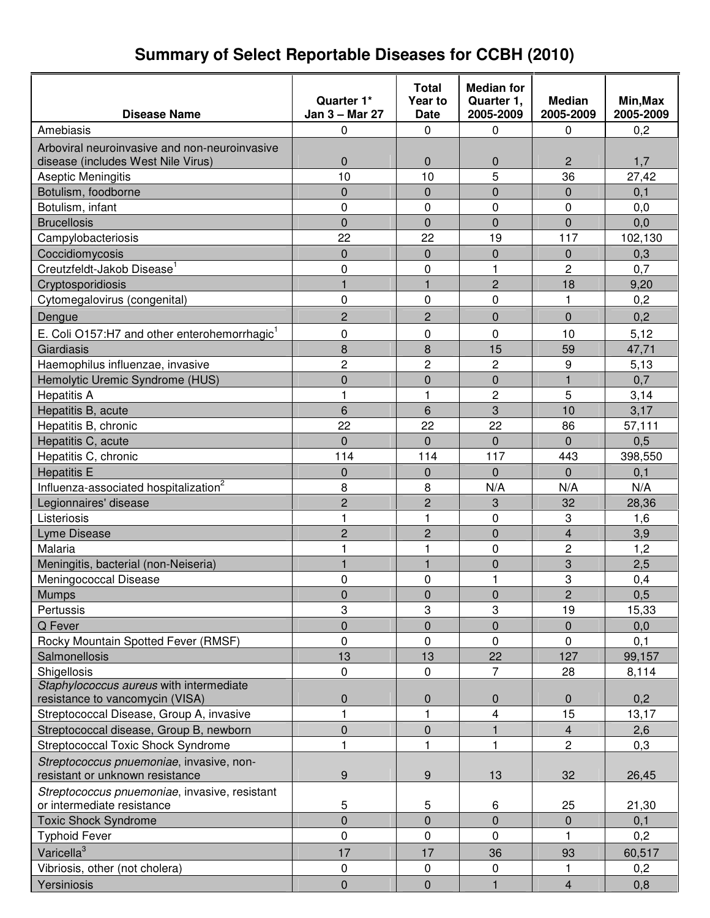#### **Disease Name Quarter 1\* Jan 3 – Mar 27 Total Year to Date Median for Quarter 1, 2005-2009 Median 2005-2009 Min,Max 2005-2009**  Amebiasis 0 0 0 0,2 Arboviral neuroinvasive and non-neuroinvasive disease (includes West Nile Virus) 0 0 0 2 1,7 Aseptic Meningitis 10 10 10 10 5 36 27,42 Botulism, foodborne **1** 0 0 0 0 0,1 Botulism, infant 0 0 0 0 0,0 Brucellosis 0 0 0,0 Campylobacteriosis 22 22 19 117 102,130  $\text{Coccidiomvcosis}$  0 0 0,3 Creutzfeldt-Jakob Disease<sup>1</sup> | 0 | 0 | 1 | 2 | 0,7  $\hbox{Crvptosporidiosis}$  1  $\hbox{Crvptosporidiosis}$  9.20 Cytomegalovirus (congenital)  $\begin{array}{cccc} | & 0 & | & 0 & | & 1 & | & 0.2 \end{array}$ Dengue 2 0 0,2 E. Coli O157:H7 and other enterohemorrhagic<sup>1</sup>0 0 0 10 5,12 Giardiasis 8 8 15 59 47,71 Haemophilus influenzae, invasive 2 2 2 9 5,13 Hemolytic Uremic Syndrome (HUS)  $\begin{array}{cccc} | & 0 & 0 \\ | & 0 & 0 \\ \end{array}$  0 0 1 1 0,7 Hepatitis A 1 2 5 3,14 Hepatitis B, acute the control of the control of the control of the control of the control of the control of t Hepatitis B, chronic 22 22 22 22 22 86 57,111 Hepatitis C, acute 0 0 0 0 0,5 Hepatitis C, chronic **114** 114 114 114 117 1443 398,550 Hepatitis E | 0 | 0 | 0 | 0,1 Influenza-associated hospitalization<sup>2</sup>  $\vert$  8  $\vert$  N/A  $\vert$  N/A  $\vert$  N/A N/A Legionnaires' disease 28,36  $\qquad$  2 3 32 32 28,36 Listeriosis 1 1 0 3 1,6 **Lyme Disease 2 2 2 0 4 3,9** Malaria 1 1 0 2 1,2 Meningitis, bacterial (non-Neiseria) 1 1 1 0 3 2,5 Meningococcal Disease **1** 0 1 3 0,4 Mumps 0 0 0 2 0,5 Pertussis 3 3 3 19 15,33 Q Fever 0 0 0 0 0,0 Rocky Mountain Spotted Fever (RMSF) 0 0 0 0 0,1 Salmonellosis 13 13 13 22 127 99,157 Shigellosis 0 0 7 28 8,114 Staphylococcus aureus with intermediate resistance to vancomycin (VISA) 0 0 0 0 0,2 Streptococcal Disease, Group A, invasive 1 1 1 1 1 1 4 15 13,17 Streptococcal disease, Group B, newborn 0 0 0 1 4 2,6 Streptococcal Toxic Shock Syndrome | 1 1 | 1 | 1 | 2 | 0,3 Streptococcus pnuemoniae, invasive, nonresistant or unknown resistance 9 9 13 32 26,45 Streptococcus pnuemoniae, invasive, resistant or intermediate resistance 5 5 6 25 21,30 Toxic Shock Syndrome 0 0 0 0 0,1 Typhoid Fever 0 0 1 0,2 Varicella $3$ 17 | 36 | 93 | 60,517 Vibriosis, other (not cholera)  $\begin{array}{ccccccc} \vert & 0 & \vert & 0 & \vert & 0 \end{array}$  0 1 1 0.2

Yersiniosis 0 0 1 4 0,8

#### **Summary of Select Reportable Diseases for CCBH (2010)**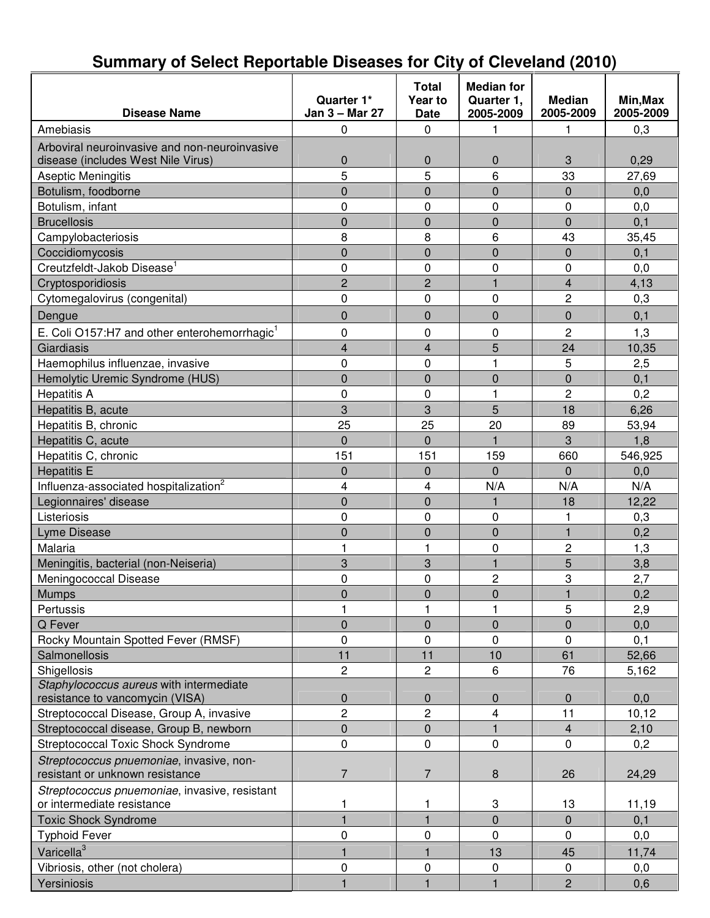| <b>Disease Name</b>                                                                 | Quarter 1*<br>Jan 3 - Mar 27 | <b>Total</b><br>Year to<br><b>Date</b> | <b>Median for</b><br>Quarter 1,<br>2005-2009 | <b>Median</b><br>2005-2009 | Min, Max<br>2005-2009 |
|-------------------------------------------------------------------------------------|------------------------------|----------------------------------------|----------------------------------------------|----------------------------|-----------------------|
| Amebiasis                                                                           | $\mathbf 0$                  | $\mathbf 0$                            | 1                                            | 1                          | 0,3                   |
|                                                                                     |                              |                                        |                                              |                            |                       |
| Arboviral neuroinvasive and non-neuroinvasive<br>disease (includes West Nile Virus) | $\mathbf 0$                  | $\boldsymbol{0}$                       | 0                                            | 3                          | 0,29                  |
| Aseptic Meningitis                                                                  | 5                            | 5                                      | 6                                            | 33                         | 27,69                 |
| Botulism, foodborne                                                                 | $\overline{0}$               | $\mathbf 0$                            | $\overline{0}$                               | 0                          | 0,0                   |
| Botulism, infant                                                                    | 0                            | $\mathbf 0$                            | 0                                            | 0                          | 0,0                   |
| <b>Brucellosis</b>                                                                  | $\overline{0}$               | $\mathbf 0$                            | $\overline{0}$                               | $\overline{0}$             | 0,1                   |
| Campylobacteriosis                                                                  | 8                            | 8                                      | 6                                            | 43                         | 35,45                 |
| Coccidiomycosis                                                                     | $\overline{0}$               | $\mathbf 0$                            | $\overline{0}$                               | 0                          | 0,1                   |
| Creutzfeldt-Jakob Disease <sup>1</sup>                                              | 0                            | $\mathbf 0$                            | 0                                            | 0                          | 0,0                   |
| Cryptosporidiosis                                                                   | $\overline{2}$               | $\overline{2}$                         | $\mathbf{1}$                                 | $\overline{4}$             | 4,13                  |
| Cytomegalovirus (congenital)                                                        | 0                            | $\mathbf 0$                            | 0                                            | 2                          | 0,3                   |
|                                                                                     | $\overline{0}$               | $\Omega$                               | $\overline{0}$                               | 0                          | 0,1                   |
| Dengue                                                                              |                              |                                        |                                              |                            |                       |
| E. Coli O157:H7 and other enterohemorrhagic <sup>1</sup>                            | 0                            | 0                                      | 0                                            | $\overline{2}$             | 1,3                   |
| Giardiasis                                                                          | $\overline{\mathbf{4}}$      | $\overline{\mathbf{4}}$                | 5                                            | 24                         | 10,35                 |
| Haemophilus influenzae, invasive                                                    | 0                            | $\mathbf 0$                            | 1                                            | 5                          | 2,5                   |
| Hemolytic Uremic Syndrome (HUS)                                                     | $\overline{0}$               | $\mathbf 0$                            | $\overline{0}$                               | $\mathbf 0$                | 0,1                   |
| <b>Hepatitis A</b>                                                                  | 0                            | $\mathbf 0$                            | 1                                            | $\overline{2}$             | 0,2                   |
| Hepatitis B, acute                                                                  | 3                            | 3                                      | 5                                            | 18                         | 6,26                  |
| Hepatitis B, chronic                                                                | 25                           | 25                                     | 20                                           | 89                         | 53,94                 |
| Hepatitis C, acute                                                                  | $\overline{0}$               | $\Omega$                               | 1                                            | 3                          | 1,8                   |
| Hepatitis C, chronic                                                                | 151                          | 151                                    | 159                                          | 660                        | 546,925               |
| <b>Hepatitis E</b>                                                                  | $\overline{0}$               | $\mathbf 0$                            | $\overline{0}$                               | $\Omega$                   | 0,0                   |
| Influenza-associated hospitalization <sup>2</sup>                                   | 4                            | 4                                      | N/A                                          | N/A                        | N/A                   |
| Legionnaires' disease                                                               | $\overline{0}$               | $\mathbf 0$                            | $\mathbf{1}$                                 | 18                         | 12,22                 |
| Listeriosis                                                                         | 0                            | $\mathbf 0$                            | 0                                            | 1                          | 0,3                   |
| Lyme Disease                                                                        | $\mathbf 0$                  | $\mathbf 0$                            | 0                                            | $\mathbf{1}$               | 0,2                   |
| Malaria                                                                             | $\mathbf{1}$                 | 1                                      | 0                                            | $\overline{c}$             | 1,3                   |
| Meningitis, bacterial (non-Neiseria)                                                | 3                            | 3                                      | $\mathbf{1}$                                 | 5                          | 3,8                   |
| Meningococcal Disease                                                               | 0                            | $\mathbf 0$                            | $\overline{c}$                               | 3                          | 2,7                   |
| <b>Mumps</b>                                                                        | 0                            | 0                                      | 0                                            |                            | 0,2                   |
| Pertussis                                                                           | 1                            | 1                                      | 1                                            | 5                          | 2,9                   |
| Q Fever                                                                             | $\overline{0}$               | $\mathbf 0$                            | $\overline{0}$                               | $\mathbf 0$                | 0,0                   |
| Rocky Mountain Spotted Fever (RMSF)                                                 | 0                            | $\mathbf 0$                            | 0                                            | 0                          | 0,1                   |
| Salmonellosis                                                                       | 11                           | 11                                     | 10                                           | 61                         | 52,66                 |
| Shigellosis                                                                         | $\overline{2}$               | $\overline{c}$                         | 6                                            | 76                         | 5,162                 |
| Staphylococcus aureus with intermediate<br>resistance to vancomycin (VISA)          | $\pmb{0}$                    | $\mathbf 0$                            | 0                                            | 0                          | 0,0                   |
| Streptococcal Disease, Group A, invasive                                            | $\overline{c}$               | $\overline{c}$                         | 4                                            | 11                         | 10, 12                |
| Streptococcal disease, Group B, newborn                                             | 0                            | $\mathbf{0}$                           | $\mathbf{1}$                                 | $\overline{4}$             | 2,10                  |
| <b>Streptococcal Toxic Shock Syndrome</b>                                           | 0                            | $\pmb{0}$                              | 0                                            | 0                          | 0,2                   |
| Streptococcus pnuemoniae, invasive, non-                                            |                              |                                        |                                              |                            |                       |
| resistant or unknown resistance                                                     | $\overline{7}$               | $\overline{7}$                         | 8                                            | 26                         | 24,29                 |
| Streptococcus pnuemoniae, invasive, resistant<br>or intermediate resistance         | 1                            | 1                                      | 3                                            | 13                         | 11,19                 |
| <b>Toxic Shock Syndrome</b>                                                         | $\mathbf{1}$                 | $\overline{\mathbf{1}}$                | $\overline{0}$                               | $\overline{0}$             | 0,1                   |
| <b>Typhoid Fever</b>                                                                | 0                            | 0                                      | 0                                            | 0                          | 0,0                   |
| Varicella <sup>3</sup>                                                              | $\mathbf{1}$                 | 1                                      | 13                                           | 45                         | 11,74                 |
| Vibriosis, other (not cholera)                                                      | 0                            | $\mathbf 0$                            | 0                                            | 0                          | 0,0                   |
| Yersiniosis                                                                         | $\mathbf{1}$                 | 1                                      | $\mathbf{1}$                                 | $\overline{c}$             | 0,6                   |

## **Summary of Select Reportable Diseases for City of Cleveland (2010)**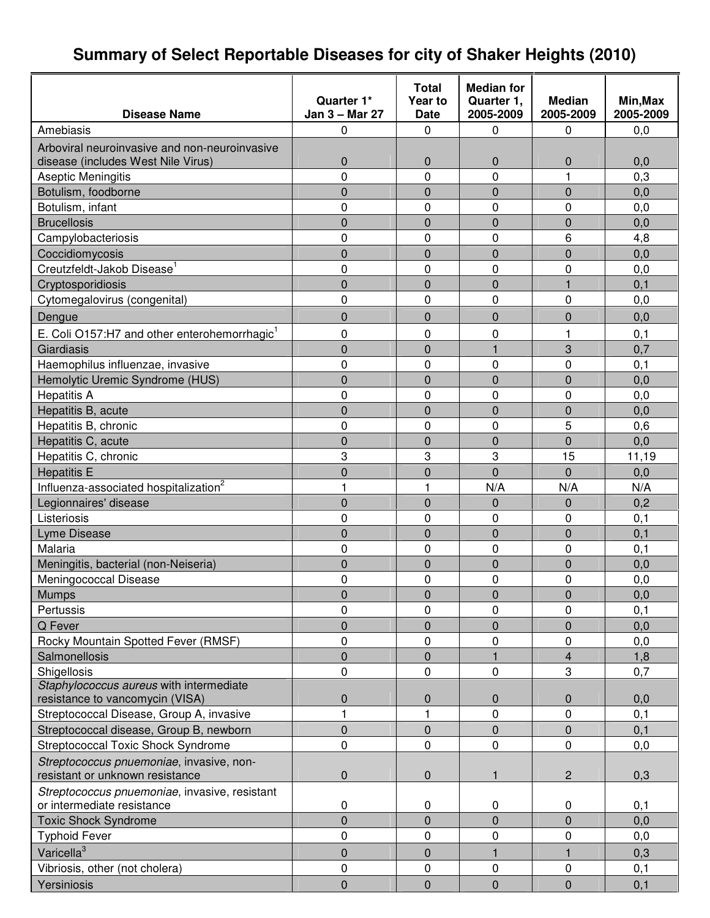# **Summary of Select Reportable Diseases for city of Shaker Heights (2010)**

|                                                                             |                | <b>Total</b>   | <b>Median for</b> |                |           |
|-----------------------------------------------------------------------------|----------------|----------------|-------------------|----------------|-----------|
|                                                                             | Quarter 1*     | Year to        | Quarter 1,        | <b>Median</b>  | Min, Max  |
| <b>Disease Name</b>                                                         | Jan 3 - Mar 27 | <b>Date</b>    | 2005-2009         | 2005-2009      | 2005-2009 |
| Amebiasis                                                                   | 0              | 0              | 0                 | 0              | 0,0       |
| Arboviral neuroinvasive and non-neuroinvasive                               |                |                |                   |                |           |
| disease (includes West Nile Virus)                                          | 0              | 0              | $\mathbf 0$       | 0              | 0,0       |
| Aseptic Meningitis                                                          | 0              | 0              | 0                 | 1              | 0,3       |
| Botulism, foodborne                                                         | 0              | $\overline{0}$ | $\mathbf 0$       | 0              | 0,0       |
| Botulism, infant                                                            | 0              | 0              | 0                 | 0              | 0,0       |
| <b>Brucellosis</b>                                                          | $\overline{0}$ | $\overline{0}$ | $\overline{0}$    | 0              | 0,0       |
| Campylobacteriosis                                                          | 0              | 0              | $\mathbf 0$       | 6              | 4,8       |
| Coccidiomycosis                                                             | 0              | 0              | $\mathbf 0$       | 0              | 0,0       |
| Creutzfeldt-Jakob Disease <sup>1</sup>                                      | 0              | 0              | 0                 | 0              | 0,0       |
| Cryptosporidiosis                                                           | $\overline{0}$ | $\overline{0}$ | $\mathbf 0$       | $\mathbf{1}$   | 0,1       |
| Cytomegalovirus (congenital)                                                | 0              | 0              | $\mathbf 0$       | 0              | 0,0       |
| Dengue                                                                      | 0              | $\overline{0}$ | $\mathbf 0$       | 0              | 0,0       |
| E. Coli O157:H7 and other enterohemorrhagic <sup>1</sup>                    | 0              | 0              | 0                 | 1              | 0, 1      |
| Giardiasis                                                                  | $\overline{0}$ | $\overline{0}$ | $\mathbf{1}$      | 3              | 0,7       |
| Haemophilus influenzae, invasive                                            | 0              | 0              | 0                 | 0              | 0,1       |
| Hemolytic Uremic Syndrome (HUS)                                             | 0              | $\overline{0}$ | $\overline{0}$    | 0              | 0,0       |
| <b>Hepatitis A</b>                                                          | 0              | 0              | $\mathbf 0$       | 0              | 0,0       |
| Hepatitis B, acute                                                          | 0              | $\overline{0}$ | $\overline{0}$    | $\overline{0}$ | 0,0       |
| Hepatitis B, chronic                                                        | 0              | 0              | $\mathbf 0$       | 5              | 0,6       |
| Hepatitis C, acute                                                          | 0              | 0              | $\mathbf 0$       | $\overline{0}$ | 0,0       |
| Hepatitis C, chronic                                                        | 3              | 3              | 3                 | 15             | 11,19     |
| <b>Hepatitis E</b>                                                          | $\overline{0}$ | 0              | $\overline{0}$    | $\Omega$       | 0,0       |
| Influenza-associated hospitalization <sup>2</sup>                           | 1              | 1              | N/A               | N/A            | N/A       |
|                                                                             | $\overline{0}$ | 0              | $\mathbf 0$       | 0              | 0,2       |
| Legionnaires' disease<br>Listeriosis                                        | 0              | 0              | 0                 | 0              |           |
|                                                                             | 0              | $\overline{0}$ | $\overline{0}$    | 0              | 0, 1      |
| Lyme Disease                                                                |                |                |                   |                | 0,1       |
| Malaria                                                                     | 0              | 0              | 0                 | 0              | 0, 1      |
| Meningitis, bacterial (non-Neiseria)                                        | 0              | $\overline{0}$ | $\overline{0}$    | $\overline{0}$ | 0,0       |
| Meningococcal Disease                                                       | 0              | 0              | $\mathbf 0$       | 0              | 0,0       |
| <b>Mumps</b>                                                                | $\overline{0}$ | $\overline{0}$ | $\mathbf 0$       | $\overline{0}$ | 0,0       |
| Pertussis                                                                   | 0              | 0              | 0                 | 0              | 0, 1      |
| Q Fever                                                                     | 0              | 0              | $\mathbf 0$       | 0              | 0,0       |
| Rocky Mountain Spotted Fever (RMSF)                                         | 0              | 0              | 0                 | 0              | 0,0       |
| Salmonellosis                                                               | $\overline{0}$ | $\mathbf 0$    |                   | 4              | 1,8       |
| Shigellosis                                                                 | 0              | 0              | 0                 | 3              | 0,7       |
| Staphylococcus aureus with intermediate<br>resistance to vancomycin (VISA)  | 0              | 0              | $\mathbf 0$       | 0              | 0,0       |
|                                                                             |                |                |                   |                |           |
| Streptococcal Disease, Group A, invasive                                    | 1              | 1              | 0                 | 0              | 0,1       |
| Streptococcal disease, Group B, newborn                                     | 0              | 0              | $\mathbf{0}$      | 0              | 0,1       |
| Streptococcal Toxic Shock Syndrome                                          | 0              | 0              | 0                 | 0              | 0,0       |
| Streptococcus pnuemoniae, invasive, non-<br>resistant or unknown resistance | 0              | 0              | $\mathbf{1}$      | $\overline{c}$ | 0,3       |
| Streptococcus pnuemoniae, invasive, resistant<br>or intermediate resistance | $\pmb{0}$      | 0              | 0                 | $\mathbf 0$    | 0,1       |
| <b>Toxic Shock Syndrome</b>                                                 | $\overline{0}$ | $\overline{0}$ | $\overline{0}$    | 0              | 0,0       |
| <b>Typhoid Fever</b>                                                        | 0              | 0              | $\mathbf 0$       | 0              | 0,0       |
|                                                                             |                |                |                   |                |           |
| Varicella <sup>3</sup>                                                      | 0              | 0              |                   | 1              | 0,3       |
| Vibriosis, other (not cholera)                                              | 0              | 0              | 0                 | $\pmb{0}$      | 0,1       |
| Yersiniosis                                                                 | $\mathbf 0$    | $\mathbf 0$    | $\overline{0}$    | $\mathbf 0$    | 0,1       |